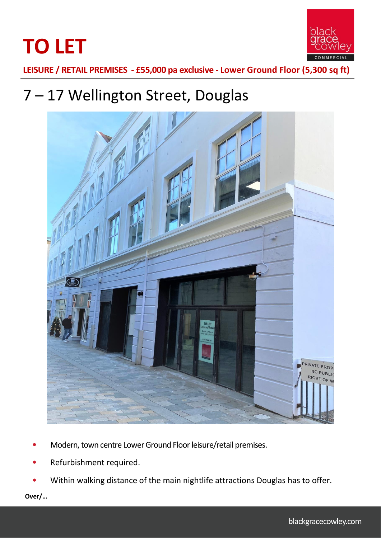



**LEISURE / RETAIL PREMISES - £55,000 pa exclusive - Lower Ground Floor (5,300 sq ft)**

# 7 – 17 Wellington Street, Douglas



- Modern, town centre Lower Ground Floor leisure/retail premises.
- Refurbishment required.
- Within walking distance of the main nightlife attractions Douglas has to offer.

**Over/…**